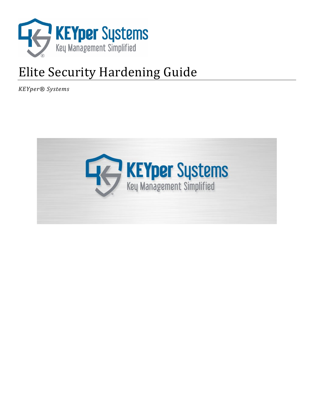

# Elite Security Hardening Guide

*KEYper® Systems* 

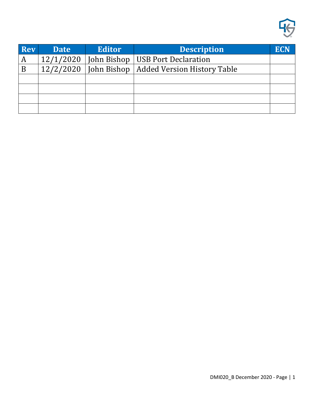

| <b>Rev</b> | <b>Date</b> | <b>Editor</b> | <b>Description</b>                        | ECN |
|------------|-------------|---------------|-------------------------------------------|-----|
| A          | 12/1/2020   |               | John Bishop   USB Port Declaration        |     |
| B          | 12/2/2020   |               | John Bishop   Added Version History Table |     |
|            |             |               |                                           |     |
|            |             |               |                                           |     |
|            |             |               |                                           |     |
|            |             |               |                                           |     |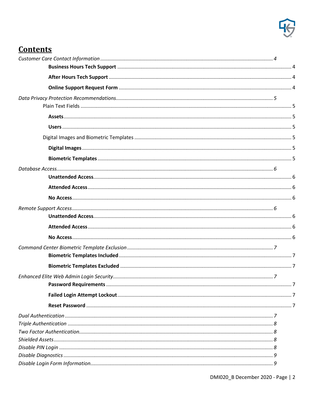

# **Contents**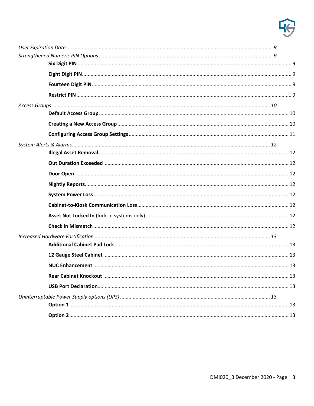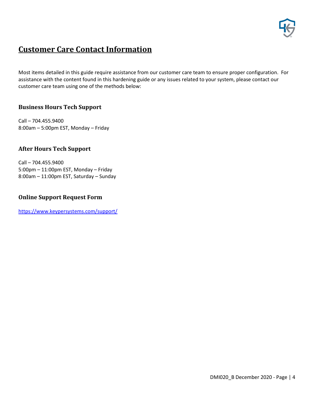

# <span id="page-4-0"></span>**Customer Care Contact Information**

Most items detailed in this guide require assistance from our customer care team to ensure proper configuration. For assistance with the content found in this hardening guide or any issues related to your system, please contact our customer care team using one of the methods below:

# <span id="page-4-1"></span>**Business Hours Tech Support**

Call – 704.455.9400 8:00am – 5:00pm EST, Monday – Friday

### <span id="page-4-2"></span>**After Hours Tech Support**

Call – 704.455.9400 5:00pm – 11:00pm EST, Monday – Friday 8:00am – 11:00pm EST, Saturday – Sunday

### <span id="page-4-3"></span>**Online Support Request Form**

<https://www.keypersystems.com/support/>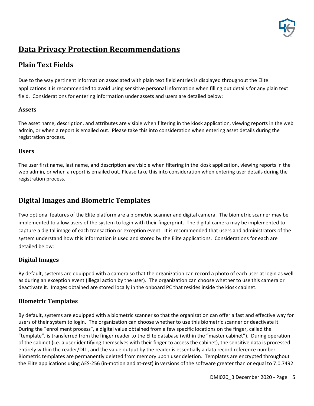

# <span id="page-5-0"></span>**Data Privacy Protection Recommendations**

# <span id="page-5-1"></span>**Plain Text Fields**

Due to the way pertinent information associated with plain text field entries is displayed throughout the Elite applications it is recommended to avoid using sensitive personal information when filling out details for any plain text field. Considerations for entering information under assets and users are detailed below:

# <span id="page-5-2"></span>**Assets**

The asset name, description, and attributes are visible when filtering in the kiosk application, viewing reports in the web admin, or when a report is emailed out. Please take this into consideration when entering asset details during the registration process.

# <span id="page-5-3"></span>**Users**

The user first name, last name, and description are visible when filtering in the kiosk application, viewing reports in the web admin, or when a report is emailed out. Please take this into consideration when entering user details during the registration process.

# <span id="page-5-4"></span>**Digital Images and Biometric Templates**

Two optional features of the Elite platform are a biometric scanner and digital camera. The biometric scanner may be implemented to allow users of the system to login with their fingerprint. The digital camera may be implemented to capture a digital image of each transaction or exception event. It is recommended that users and administrators of the system understand how this information is used and stored by the Elite applications. Considerations for each are detailed below:

# <span id="page-5-5"></span>**Digital Images**

By default, systems are equipped with a camera so that the organization can record a photo of each user at login as well as during an exception event (illegal action by the user). The organization can choose whether to use this camera or deactivate it. Images obtained are stored locally in the onboard PC that resides inside the kiosk cabinet.

# <span id="page-5-6"></span>**Biometric Templates**

By default, systems are equipped with a biometric scanner so that the organization can offer a fast and effective way for users of their system to login. The organization can choose whether to use this biometric scanner or deactivate it. During the "enrollment process", a digital value obtained from a few specific locations on the finger, called the "template", is transferred from the finger reader to the Elite database (within the "master cabinet"). During operation of the cabinet (i.e. a user identifying themselves with their finger to access the cabinet), the sensitive data is processed entirely within the reader/DLL, and the value output by the reader is essentially a data record reference number. Biometric templates are permanently deleted from memory upon user deletion. Templates are encrypted throughout the Elite applications using AES-256 (in-motion and at-rest) in versions of the software greater than or equal to 7.0.7492.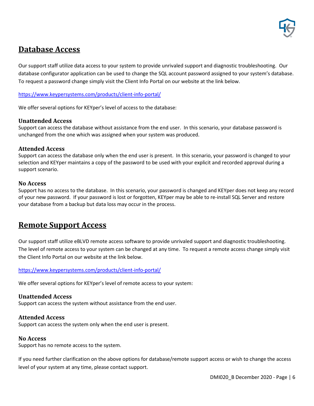

# <span id="page-6-0"></span>**Database Access**

Our support staff utilize data access to your system to provide unrivaled support and diagnostic troubleshooting. Our database configurator application can be used to change the SQL account password assigned to your system's database. To request a password change simply visit the Client Info Portal on our website at the link below.

<https://www.keypersystems.com/products/client-info-portal/>

We offer several options for KEYper's level of access to the database:

### <span id="page-6-1"></span>**Unattended Access**

Support can access the database without assistance from the end user. In this scenario, your database password is unchanged from the one which was assigned when your system was produced.

### <span id="page-6-2"></span>**Attended Access**

Support can access the database only when the end user is present. In this scenario, your password is changed to your selection and KEYper maintains a copy of the password to be used with your explicit and recorded approval during a support scenario.

### <span id="page-6-3"></span>**No Access**

Support has no access to the database. In this scenario, your password is changed and KEYper does not keep any record of your new password. If your password is lost or forgotten, KEYper may be able to re-install SQL Server and restore your database from a backup but data loss may occur in the process.

# <span id="page-6-4"></span>**Remote Support Access**

Our support staff utilize eBLVD remote access software to provide unrivaled support and diagnostic troubleshooting. The level of remote access to your system can be changed at any time. To request a remote access change simply visit the Client Info Portal on our website at the link below.

### <https://www.keypersystems.com/products/client-info-portal/>

We offer several options for KEYper's level of remote access to your system:

### <span id="page-6-5"></span>**Unattended Access**

Support can access the system without assistance from the end user.

### <span id="page-6-6"></span>**Attended Access**

Support can access the system only when the end user is present.

#### <span id="page-6-7"></span>**No Access**

Support has no remote access to the system.

If you need further clarification on the above options for database/remote support access or wish to change the access level of your system at any time, please contact support.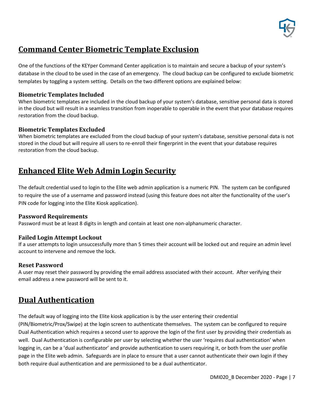

# <span id="page-7-0"></span>**Command Center Biometric Template Exclusion**

One of the functions of the KEYper Command Center application is to maintain and secure a backup of your system's database in the cloud to be used in the case of an emergency. The cloud backup can be configured to exclude biometric templates by toggling a system setting. Details on the two different options are explained below:

### <span id="page-7-1"></span>**Biometric Templates Included**

When biometric templates are included in the cloud backup of your system's database, sensitive personal data is stored in the cloud but will result in a seamless transition from inoperable to operable in the event that your database requires restoration from the cloud backup.

### <span id="page-7-2"></span>**Biometric Templates Excluded**

When biometric templates are excluded from the cloud backup of your system's database, sensitive personal data is not stored in the cloud but will require all users to re-enroll their fingerprint in the event that your database requires restoration from the cloud backup.

# <span id="page-7-3"></span>**Enhanced Elite Web Admin Login Security**

The default credential used to login to the Elite web admin application is a numeric PIN. The system can be configured to require the use of a username and password instead (using this feature does not alter the functionality of the user's PIN code for logging into the Elite Kiosk application).

### <span id="page-7-4"></span>**Password Requirements**

Password must be at least 8 digits in length and contain at least one non-alphanumeric character.

### <span id="page-7-5"></span>**Failed Login Attempt Lockout**

If a user attempts to login unsuccessfully more than 5 times their account will be locked out and require an admin level account to intervene and remove the lock.

### <span id="page-7-6"></span>**Reset Password**

<span id="page-7-7"></span>A user may reset their password by providing the email address associated with their account. After verifying their email address a new password will be sent to it.

# **Dual Authentication**

The default way of logging into the Elite kiosk application is by the user entering their credential

(PIN/Biometric/Prox/Swipe) at the login screen to authenticate themselves. The system can be configured to require Dual Authentication which requires a second user to approve the login of the first user by providing their credentials as well. Dual Authentication is configurable per user by selecting whether the user 'requires dual authentication' when logging in, can be a 'dual authenticator' and provide authentication to users requiring it, or both from the user profile page in the Elite web admin. Safeguards are in place to ensure that a user cannot authenticate their own login if they both require dual authentication and are permissioned to be a dual authenticator.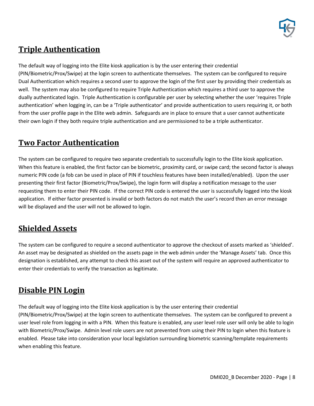

# <span id="page-8-0"></span>**Triple Authentication**

The default way of logging into the Elite kiosk application is by the user entering their credential (PIN/Biometric/Prox/Swipe) at the login screen to authenticate themselves. The system can be configured to require Dual Authentication which requires a second user to approve the login of the first user by providing their credentials as well. The system may also be configured to require Triple Authentication which requires a third user to approve the dually authenticated login. Triple Authentication is configurable per user by selecting whether the user 'requires Triple authentication' when logging in, can be a 'Triple authenticator' and provide authentication to users requiring it, or both from the user profile page in the Elite web admin. Safeguards are in place to ensure that a user cannot authenticate their own login if they both require triple authentication and are permissioned to be a triple authenticator.

# <span id="page-8-1"></span>**Two Factor Authentication**

The system can be configured to require two separate credentials to successfully login to the Elite kiosk application. When this feature is enabled, the first factor can be biometric, proximity card, or swipe card; the second factor is always numeric PIN code (a fob can be used in place of PIN if touchless features have been installed/enabled). Upon the user presenting their first factor (Biometric/Prox/Swipe), the login form will display a notification message to the user requesting them to enter their PIN code. If the correct PIN code is entered the user is successfully logged into the kiosk application. If either factor presented is invalid or both factors do not match the user's record then an error message will be displayed and the user will not be allowed to login.

# <span id="page-8-2"></span>**Shielded Assets**

The system can be configured to require a second authenticator to approve the checkout of assets marked as 'shielded'. An asset may be designated as shielded on the assets page in the web admin under the 'Manage Assets' tab. Once this designation is established, any attempt to check this asset out of the system will require an approved authenticator to enter their credentials to verify the transaction as legitimate.

# <span id="page-8-3"></span>**Disable PIN Login**

The default way of logging into the Elite kiosk application is by the user entering their credential (PIN/Biometric/Prox/Swipe) at the login screen to authenticate themselves. The system can be configured to prevent a user level role from logging in with a PIN. When this feature is enabled, any user level role user will only be able to login with Biometric/Prox/Swipe. Admin level role users are not prevented from using their PIN to login when this feature is enabled. Please take into consideration your local legislation surrounding biometric scanning/template requirements when enabling this feature.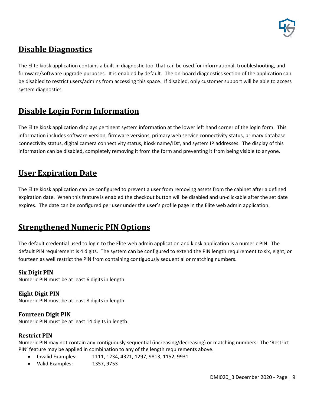

# <span id="page-9-0"></span>**Disable Diagnostics**

The Elite kiosk application contains a built in diagnostic tool that can be used for informational, troubleshooting, and firmware/software upgrade purposes. It is enabled by default. The on-board diagnostics section of the application can be disabled to restrict users/admins from accessing this space. If disabled, only customer support will be able to access system diagnostics.

# <span id="page-9-1"></span>**Disable Login Form Information**

The Elite kiosk application displays pertinent system information at the lower left hand corner of the login form. This information includes software version, firmware versions, primary web service connectivity status, primary database connectivity status, digital camera connectivity status, Kiosk name/ID#, and system IP addresses. The display of this information can be disabled, completely removing it from the form and preventing it from being visible to anyone.

# <span id="page-9-2"></span>**User Expiration Date**

The Elite kiosk application can be configured to prevent a user from removing assets from the cabinet after a defined expiration date. When this feature is enabled the checkout button will be disabled and un-clickable after the set date expires. The date can be configured per user under the user's profile page in the Elite web admin application.

# <span id="page-9-3"></span>**Strengthened Numeric PIN Options**

The default credential used to login to the Elite web admin application and kiosk application is a numeric PIN. The default PIN requirement is 4 digits. The system can be configured to extend the PIN length requirement to six, eight, or fourteen as well restrict the PIN from containing contiguously sequential or matching numbers.

# <span id="page-9-4"></span>**Six Digit PIN**

Numeric PIN must be at least 6 digits in length.

# <span id="page-9-5"></span>**Eight Digit PIN**

Numeric PIN must be at least 8 digits in length.

# <span id="page-9-6"></span>**Fourteen Digit PIN**

Numeric PIN must be at least 14 digits in length.

# <span id="page-9-7"></span>**Restrict PIN**

Numeric PIN may not contain any contiguously sequential (increasing/decreasing) or matching numbers. The 'Restrict PIN' feature may be applied in combination to any of the length requirements above.

- Invalid Examples: 1111, 1234, 4321, 1297, 9813, 1152, 9931
- Valid Examples: 1357, 9753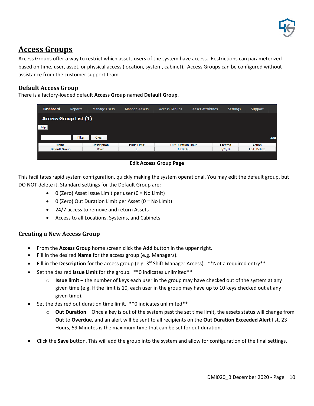

# <span id="page-10-0"></span>**Access Groups**

Access Groups offer a way to restrict which assets users of the system have access. Restrictions can parameterized based on time, user, asset, or physical access (location, system, cabinet). Access Groups can be configured without assistance from the customer support team.

# <span id="page-10-1"></span>**Default Access Group**

There is a factory-loaded default **Access Group** named **Default Group**.

| <b>Dashboard</b>             | <b>Reports</b> | <b>Manage Users</b> | <b>Manage Assets</b> | <b>Access Groups</b>      | <b>Asset Attributes</b> | <b>Settings</b> | Support            |
|------------------------------|----------------|---------------------|----------------------|---------------------------|-------------------------|-----------------|--------------------|
| <b>Access Group List (1)</b> |                |                     |                      |                           |                         |                 |                    |
| Help                         |                |                     |                      |                           |                         |                 |                    |
|                              | Filter         | Clear               |                      |                           |                         |                 | Add                |
| <b>Name</b>                  |                | <b>Description</b>  | <b>Issue Limit</b>   | <b>Out Duration Limit</b> |                         | <b>Created</b>  | <b>Action</b>      |
| <b>Default Group</b>         |                | <b>Boom</b>         | $\mathbf{0}$         | 00:00:00                  |                         | 9/20/10         | <b>Edit Delete</b> |
|                              |                |                     |                      |                           |                         |                 |                    |

#### **Edit Access Group Page**

This facilitates rapid system configuration, quickly making the system operational. You may edit the default group, but DO NOT delete it. Standard settings for the Default Group are:

- 0 (Zero) Asset Issue Limit per user (0 = No Limit)
- 0 (Zero) Out Duration Limit per Asset (0 = No Limit)
- 24/7 access to remove and return Assets
- Access to all Locations, Systems, and Cabinets

# <span id="page-10-2"></span>**Creating a New Access Group**

- From the **Access Group** home screen click the **Add** button in the upper right.
- Fill In the desired **Name** for the access group (e.g. Managers).
- Fill in the **Description** for the access group (e.g. 3rd Shift Manager Access). \*\*Not a required entry\*\*
- Set the desired **Issue Limit** for the group. \*\*0 indicates unlimited\*\*
	- o **Issue limit**  the number of keys each user in the group may have checked out of the system at any given time (e.g. If the limit is 10, each user in the group may have up to 10 keys checked out at any given time).
- Set the desired out duration time limit. \*\* 0 indicates unlimited\*\*
	- o **Out Duration**  Once a key is out of the system past the set time limit, the assets status will change from **Out** to **Overdue,** and an alert will be sent to all recipients on the **Out Duration Exceeded Alert** list. 23 Hours, 59 Minutes is the maximum time that can be set for out duration.
- Click the **Save** button. This will add the group into the system and allow for configuration of the final settings.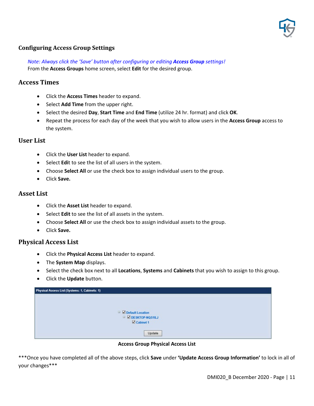

# <span id="page-11-0"></span>**Configuring Access Group Settings**

*Note: Always click the 'Save' button after configuring or editing Access Group settings!* From the **Access Groups** home screen, select **Edit** for the desired group.

### **Access Times**

- Click the **Access Times** header to expand.
- Select **Add Time** from the upper right.
- Select the desired **Day**, **Start Time** and **End Time** (utilize 24 hr. format) and click **OK**.
- Repeat the process for each day of the week that you wish to allow users in the **Access Group** access to the system.

### **User List**

- Click the **User List** header to expand.
- Select **Edi**t to see the list of all users in the system.
- Choose **Select All** or use the check box to assign individual users to the group.
- Click **Save.**

### **Asset List**

- Click the **Asset List** header to expand.
- Select **Edit** to see the list of all assets in the system.
- Choose **Select All** or use the check box to assign individual assets to the group.
- Click **Save.**

# **Physical Access List**

- Click the **Physical Access List** header to expand.
- The **System Map** displays.
- Select the check box next to all **Locations**, **Systems** and **Cabinets** that you wish to assign to this group.
- Click the **Update** button.

| Physical Access List (Systems: 1, Cabinets: 1)          |  |  |  |  |
|---------------------------------------------------------|--|--|--|--|
|                                                         |  |  |  |  |
|                                                         |  |  |  |  |
| <b>B</b> Default Location<br><b>E Z DESKTOP-NOS1ILJ</b> |  |  |  |  |
| Cabinet 1                                               |  |  |  |  |
|                                                         |  |  |  |  |
| Update                                                  |  |  |  |  |

**Access Group Physical Access List**

\*\*\*Once you have completed all of the above steps, click **Save** under **'Update Access Group Information'** to lock in all of your changes\*\*\*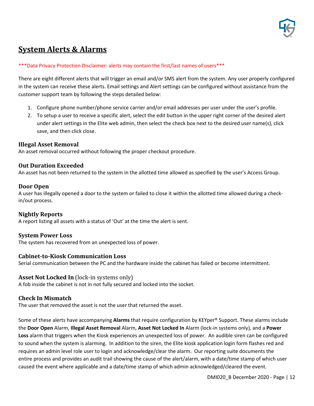

# <span id="page-12-0"></span>**System Alerts & Alarms**

#### \*\*\*Data Privacy Protection Disclaimer: alerts may contain the first/last names of users\*\*\*

There are eight different alerts that will trigger an email and/or SMS alert from the system. Any user properly configured in the system can receive these alerts. Email settings and Alert settings can be configured without assistance from the customer support team by following the steps detailed below:

- 1. Configure phone number/phone service carrier and/or email addresses per user under the user's profile.
- 2. To setup a user to receive a specific alert, select the edit button in the upper right corner of the desired alert under alert settings in the Elite web admin, then select the check box next to the desired user name(s), click save, and then click close.

#### <span id="page-12-1"></span>**Illegal Asset Removal**

An asset removal occurred without following the proper checkout procedure.

#### <span id="page-12-2"></span>**Out Duration Exceeded**

An asset has not been returned to the system in the allotted time allowed as specified by the user's Access Group.

#### <span id="page-12-3"></span>**Door Open**

A user has illegally opened a door to the system or failed to close it within the allotted time allowed during a checkin/out process.

#### <span id="page-12-4"></span>**Nightly Reports**

A report listing all assets with a status of 'Out' at the time the alert is sent.

#### <span id="page-12-5"></span>**System Power Loss**

The system has recovered from an unexpected loss of power.

### <span id="page-12-6"></span>**Cabinet-to-Kiosk Communication Loss**

Serial communication between the PC and the hardware inside the cabinet has failed or become intermittent.

#### <span id="page-12-7"></span>**Asset Not Locked In** (lock-in systems only)

A fob inside the cabinet is not in not fully secured and locked into the socket.

#### <span id="page-12-8"></span>**Check In Mismatch**

The user that removed the asset is not the user that returned the asset.

Some of these alerts have accompanying **Alarms** that require configuration by KEYper® Support. These alarms include the **Door Open** Alarm, **Illegal Asset Removal** Alarm, **Asset Not Locked In** Alarm (lock-in systems only), and a **Power Loss** alarm that triggers when the Kiosk experiences an unexpected loss of power. An audible siren can be configured to sound when the system is alarming. In addition to the siren, the Elite kiosk application login form flashes red and requires an admin level role user to login and acknowledge/clear the alarm. Our reporting suite documents the entire process and provides an audit trail showing the cause of the alert/alarm, with a date/time stamp of which user caused the event where applicable and a date/time stamp of which admin acknowledged/cleared the event.